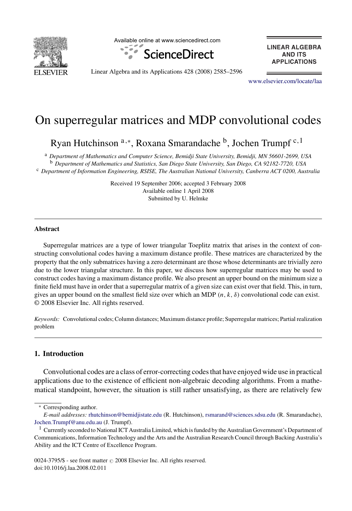

Available online at www.sciencedirect.com



**LINEAR ALGEBRA AND ITS APPLICATIONS** 

Linear Algebra and its Applications 428 (2008) 2585–2596

www.elsevier.com/locate/laa

# On superregular matrices and MDP convolutional codes

Ryan Hutchinson <sup>a,∗</sup>, Roxana Smarandache <sup>b</sup>, Jochen Trumpf <sup>c, 1</sup>

<sup>a</sup> *Department of Mathematics and Computer Science, Bemidji State University, Bemidji, MN 56601-2699, USA* <sup>b</sup> *Department of Mathematics and Statistics, San Diego State University, San Diego, CA 92182-7720, USA* <sup>c</sup> *Department of Information Engineering, RSISE, The Australian National University, Canberra ACT 0200, Australia*

> Received 19 September 2006; accepted 3 February 2008 Available online 1 April 2008 Submitted by U. Helmke

## **Abstract**

Superregular matrices are a type of lower triangular Toeplitz matrix that arises in the context of constructing convolutional codes having a maximum distance profile. These matrices are characterized by the property that the only submatrices having a zero determinant are those whose determinants are trivially zero due to the lower triangular structure. In this paper, we discuss how superregular matrices may be used to construct codes having a maximum distance profile. We also present an upper bound on the minimum size a finite field must have in order that a superregular matrix of a given size can exist over that field. This, in turn, gives an upper bound on the smallest field size over which an MDP *(n, k, δ)* convolutional code can exist. © 2008 Elsevier Inc. All rights reserved.

*Keywords:* Convolutional codes; Column distances; Maximum distance profile; Superregular matrices; Partial realization problem

## **1. Introduction**

Convolutional codes are a class of error-correcting codes that have enjoyed wide use in practical applications due to the existence of efficient non-algebraic decoding algorithms. From a mathematical standpoint, however, the situation is still rather unsatisfying, as there are relatively few

<sup>∗</sup> Corresponding author.

*E-mail addresses:* rhutchinson@bemidjistate.edu (R. Hutchinson), rsmarand@sciences.sdsu.edu (R. Smarandache), Jochen.Trumpf@anu.edu.au (J. Trumpf).

 $1$  Currently seconded to National ICT Australia Limited, which is funded by the Australian Government's Department of Communications, Information Technology and the Arts and the Australian Research Council through Backing Australia's Ability and the ICT Centre of Excellence Program.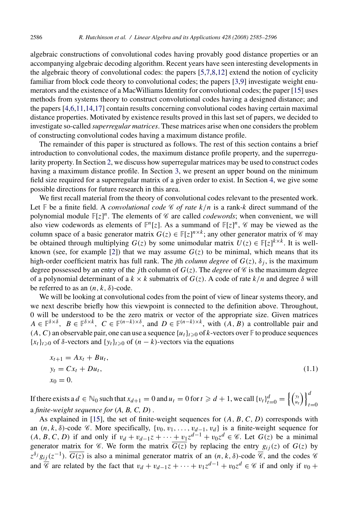algebraic constructions of convolutional codes having provably good distance properties or an accompanying algebraic decoding algorithm. Recent years have seen interesting developments in the algebraic theory of convolutional codes: the papers [5,7,8,12] extend the notion of cyclicity familiar from block code [th](#page-3-0)eory to convolutional codes; the papers [3,9] investigate weight enumerators and the existence of a MacWilliams Ide[nt](#page-5-0)ity for convolutional codes; the paper [15] uses methods from systems theory to construct convolutional codes having a desig[ned](#page-9-0) distance; and the papers [4,6,11,14,17] contain results concerning convolutional codes having certain maximal distance properties. Motivated by existence results proved in this last set of papers, we decided to investigate so-called *superregular matrices*. These matrices arise when one considers the problem of constructing convolutional codes having a maximum distance profile.

The remainder of this paper is structured as follows. The rest of this section contains a brief introduction to convolutional codes, the maximum distance profile property, and the superregularity property. In Section 2, we discuss how superregular matrices may be used to construct codes having a maximum distan[ce](#page-10-0) profile. In Section 3, we present an upper bound on the minimum field size required for a superregular matrix of a given order to exist. In Section 4, we give some possible directions for future research in this area.

We first recall material from the theory of convolutional codes relevant to the presented work. Let  $\mathbb{F}$  be a finite field. A *convolutional code*  $\mathcal{C}$  *of rate*  $k/n$  is a rank-*k* direct summand of the polynomial module  $\mathbb{F}[z]^n$ . The elements of  $\mathscr C$  are called *codewords*; when convenient, we will also view codewords as elements of  $\mathbb{F}^n[z]$ . As a summand of  $\mathbb{F}[z]^n$ ,  $\mathscr{C}$  may be viewed as the column space of a basic generator matrix  $G(z) \in \mathbb{F}[z]^{n \times k}$ ; any other generator matrix of  $\mathscr{C}$  may be obtained through multiplying  $G(z)$  by some unimodular matrix  $U(z) \in \mathbb{F}[z]^{k \times k}$ . It is wellknown (see, for example [2]) that we may assume  $G(z)$  to be minimal, which means that its high-order coefficient matrix has full rank. The *j*th *column degree* of  $G(z)$ ,  $\delta_i$ , is the maximum degree possessed by an entry of the *j*th column of  $G(z)$ . The *degree* of  $\mathscr C$  is the maximum degree of a polynomial determinant of a  $k \times k$  submatrix of  $G(z)$ . A code of rate  $k/n$  and degree  $\delta$  will be referred to as an  $(n, k, \delta)$ -code.

We will be looking at convolutional codes from the point of view of linear systems theory, and we next describe briefly how this viewpoint is connected to the definition above. Throughout, 0 will be understood to be the zero matrix or vector of the appropriate size. Given matrices  $A \in \mathbb{F}^{\delta \times \delta}$ ,  $B \in \mathbb{F}^{\delta \times k}$ ,  $C \in \mathbb{F}^{(n-k) \times \delta}$ , and  $D \in \mathbb{F}^{(n-k) \times k}$ , with  $(A, B)$  a controllable pair and  $(A, C)$  an observabl[e pa](#page-11-0)ir, one can use a sequence  $\{u_t\}_{t\geq 0}$  of *k*-vectors over  $\mathbb F$  to produce sequences  ${x_t}$ <sub>*t* $z$ </sub> of *δ*-vectors and {*y<sub>t</sub>*}*t*≥<sub>0</sub> of (*n* − *k*)-vectors via the equations

$$
x_{t+1} = Ax_t + Bu_t, \n y_t = Cx_t + Du_t, \n x_0 = 0.
$$
\n(1.1)

If there exists a  $d \in \mathbb{N}_0$  such that  $x_{d+1} = 0$  and  $u_t = 0$  for  $t \ge d+1$ , we call  $\{v_t\}_{t=0}^d = \left\{ \begin{pmatrix} y_t \\ u_t \end{pmatrix} \right\}_{t=0}^d$ *t*=0 a *finite-weight sequence for* (*A, B, C, D*) .

As explained in [15], the set of finite-weight sequences for *(A, B, C, D)* corresponds with an  $(n, k, \delta)$ -code  $\mathscr C$ . More specifically,  $\{v_0, v_1, \ldots, v_{d-1}, v_d\}$  is a finite-weight sequence for  $(A, B, C, D)$  if and only if  $v_d + v_{d-1}z + \cdots + v_1z^{d-1} + v_0z^d$  ∈ C. Let  $G(z)$  be a minimal generator matrix for  $\mathscr C$ . We form the matrix  $\overline{G(z)}$  by replacing the entry  $g_{ij}(z)$  of  $G(z)$  by  $z^{\delta_j}g_{ij}(z^{-1})$ .  $\overline{G(z)}$  is also a minimal generator matrix of an  $(n, k, \delta)$ -code  $\overline{\mathscr{C}}$ , and the codes  $\mathscr{C}$ and  $\overline{\mathscr{C}}$  are related by the fact that  $v_d + v_{d-1}z + \cdots + v_1z^{d-1} + v_0z^d \in \mathscr{C}$  if and only if  $v_0 +$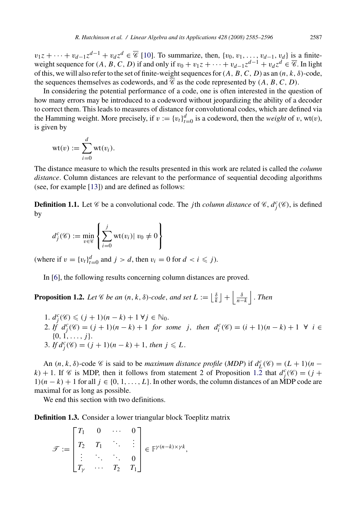$v_1z + \cdots + v_{d-1}z^{d-1} + v_dz^d \in \overline{\mathscr{C}}$  [10]. To summarize, then,  $\{v_0, v_1, \ldots, v_{d-1}, v_d\}$  is a finiteweight sequence for  $(A, B, C, D)$  if and only if  $v_0 + v_1 z + \cdots + v_{d-1} z^{d-1} + v_d z^d \in \overline{\mathscr{C}}$ . In light of this, we will also refer to the set of finite-weight sequences for*(A, B, C, D)* as an *(n, k, δ)*-code, the sequences themselves as codewords, and  $\overline{\mathscr{C}}$  as the code represented by  $(A, B, C, D)$ .

In considering the potential performance of a code, one is often interested in the question of how many errors [may](#page-11-0) be introduced to a codeword without jeopardizing the ability of a decoder to correct them. This leads to measures of distance for convolutional codes, which are defined via the Hamming weight. More precisely, if  $v := \{v_t\}_{t=0}^d$  is a codeword, then the *weight* of *v*, wt(*v*), is given by

$$
wt(v) := \sum_{i=0}^d wt(v_i).
$$

The distance measure to which the results presented in this work are related is called the *column distance*. Column distances are relevant to the performance of sequential decoding algorithms (see, f[or](#page-11-0) example [13]) and are defined as follows:

**Definition 1.1.** Let  $\mathscr C$  be a convolutional code. The *j*th *column distance* of  $\mathscr C$ ,  $d_j^c(\mathscr C)$ , is defined by

$$
d_j^c(\mathscr{C}) := \min_{v \in \mathscr{C}} \left\{ \sum_{i=0}^j \text{wt}(v_i) | v_0 \neq 0 \right\}
$$

(where if  $v = \{v_t\}_{t=0}^d$  and  $j > d$ , then  $v_i = 0$  for  $d < i \leq j$ ).

In [6], the following results concerning column distances are proved.

**Proposition 1.2.** *Let*  $\mathscr C$  *be an*  $(n, k, \delta)$ *-code, and set*  $L := \lfloor \frac{\delta}{k} \rfloor + \left| \frac{\delta}{n-k} \right|$ *. Then* 

1.  $d_j^c$  (*€*) ≤ (*j* + 1)(*n* − *k*) + 1 ∀*j* ∈ N<sub>0</sub>. 2. If  $d_j^c(\mathscr{C}) = (j+1)(n-k) + 1$  for some j, then  $d_i^c(\mathscr{C}) = (i+1)(n-k) + 1 \ \forall i \in$  $\{0, 1, \ldots, j\}.$ 3. If  $d_j^c(\mathcal{C}) = (j + 1)(n - k) + 1$ , then  $j \le L$ .

An  $(n, k, \delta)$ -code  $\mathcal C$  is said to be *maximum distance profile* (*MDP*) if  $d_L^c(\mathcal C) = (L + 1)(n - \delta)$  $k$ ) + 1. If  $\mathcal{C}$  is MDP, then it follows from statement 2 of Proposition 1.2 that  $d_j^c(\mathcal{C}) = (j + 1)$ 1)( $n - k$ ) + 1 for all  $j \in \{0, 1, ..., L\}$ . In other words, the column distances of an MDP code are maximal for as long as possible.

We end this section with two definitions.

**Definition 1.3.** Consider a lower triangular block Toeplitz matrix

$$
\mathcal{F} := \begin{bmatrix} T_1 & 0 & \cdots & 0 \\ T_2 & T_1 & \ddots & \vdots \\ \vdots & \ddots & \ddots & 0 \\ T_\gamma & \cdots & T_2 & T_1 \end{bmatrix} \in \mathbb{F}^{\gamma(n-k) \times \gamma k},
$$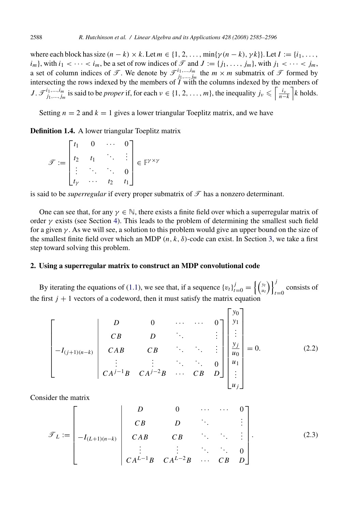<span id="page-3-0"></span>where each block has size  $(n - k) \times k$ . Let  $m \in \{1, 2, \ldots, \min\{\gamma(n - k), \gamma k\}\}\.$  Let  $I := \{i_1, \ldots, i_m\}$  $i_m$ }, with  $i_1 < \cdots < i_m$ , be a set of row indices of  $\mathcal{T}$  and  $J := \{j_1, \ldots, j_m\}$ , with  $j_1 < \cdots < j_m$ , a set of column indices of  $\mathcal{T}$ . We denote by  $\mathcal{T}^{i_1,...,i_m}_{j_1,...,j_m}$  the  $m \times m$  submatrix of  $\mathcal{T}$  formed by intersecting the rows indexed by the members of *I* with the columns indexed by the members of *J*.  $\mathcal{F}_{j_1,\dots,j_m}^{i_1,\dots,i_m}$  is said to be *proper* if, for each  $\nu \in \{1,2,\dots,m\}$ , the inequality  $j_{\nu} \leqslant \left\lceil \frac{i_{\nu}}{n-k} \right\rceil k$  holds.

Setting  $n = 2$  and  $k = 1$  gives a lower triangular Toeplitz matrix, and we have

**Definition 1.4.** A lower tri[ang](#page-9-0)ular Toeplitz matrix

$$
\mathcal{F} := \begin{bmatrix} t_1 & 0 & \cdots & 0 \\ t_2 & t_1 & \ddots & \vdots \\ \vdots & \ddots & \ddots & 0 \\ t_{\gamma} & \cdots & t_2 & t_1 \end{bmatrix} \in \mathbb{F}^{\gamma \times \gamma}
$$

is said to be *superregular* if every proper submatrix of  $\mathcal{T}$  has a nonzero determinant.

One can see that, for any  $\gamma \in \mathbb{N}$ , there exists a finite field over which a superregular matrix of order  $\gamma$  exists (see Section 4). This leads to the problem of determining the smallest such field for a given *γ* . As we will see, a solution to this problem would give an upper bound on the size of the smallest finite field over which an MDP  $(n, k, \delta)$ -code can exist. In Section 3, we take a first step toward solving this problem.

# **2. Using a superregular matrix to construct an MDP convolutional code**

By iterating the equations of (1.1), we see that, if a sequence  $\{v_t\}_{t=0}^j = \left\{ \begin{pmatrix} y_t \\ u_t \end{pmatrix} \right\}_{t=0}^j$  $t=0$  consists of the first  $j + 1$  vectors of a codeword, then it must satisfy the matrix equation

$$
\begin{bmatrix}\nD & 0 & \cdots & \cdots & 0 \\
CB & D & \ddots & & \vdots \\
-I_{(j+1)(n-k)} & CAB & CB & \ddots & \vdots \\
\vdots & \vdots & \ddots & \ddots & 0 \\
CA^{j-1}B & CA^{j-2}B & \cdots & CB & D\n\end{bmatrix}\n\begin{bmatrix}\ny_0 \\
y_1 \\
\vdots \\
y_j \\
u_1 \\
u_2\n\end{bmatrix} = 0.
$$
\n(2.2)

Consider the matrix

T*<sup>L</sup>* := ⎡ ⎢ ⎢ ⎢ ⎢ ⎢ ⎢ ⎢ ⎣ *D* 0 ··· ··· 0 *CB D* ... *. . .* <sup>−</sup>*I(L*<sup>+</sup>1*)(n*−*k) CAB CB* ... ... *. . . . . . . . .* ... ... <sup>0</sup> *CAL*−1*B CAL*−2*B* ··· *CB D* ⎤ ⎥ ⎥ ⎥ ⎥ ⎥ ⎥ ⎥ ⎦ *.* (2.3)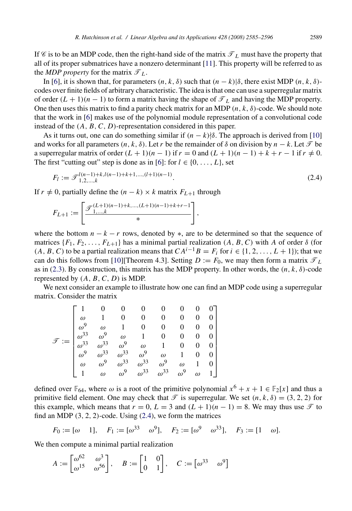If C is to be an MDP code, then the right-hand side of the matrix  $\mathcal{T}_L$  must have the property [that](#page-11-0) all of its proper submatrices have a nonzero determinant [11]. This property will be referred to as the *MDP property* for the matrix  $\mathcal{T}_L$ .

In [6], it is shown that, for parameters  $(n, k, \delta)$  $(n, k, \delta)$  such that  $(n - k)/\delta$ , there exist MDP  $(n, k, \delta)$ codes over finite fields of arbitrary characteristic. The idea is that one can use a superregular matrix of order  $(L + 1)(n - 1)$  to form a matrix having the shape of  $\mathcal{T}_L$  and having the MDP property. One then uses this matrix to find a parity check matrix for an MDP *(n, k, δ)*-code. We should note that the work in [6] makes use of the polynomial module representation of a convolutional code instead of the *(A, B, C, D)*-representation considered in this paper.

As it turns out, one can do something similar if  $(n - k)/\delta$ . The approach is derived from [10] and works for all parameters  $(n, k, \delta)$ . Let *r* be the remainder of  $\delta$  on division by  $n - k$ . Let  $\mathcal{T}$  be a superregular matrix of order  $(L + 1)(n - 1)$  if  $r = 0$  and  $(L + 1)(n - 1) + k + r - 1$  if  $r \neq 0$ . The first "cutting out" step is done as in [6]: for  $l \in \{0, \ldots, L\}$ , set

$$
F_l := \mathcal{F}^{l(n-1)+k, l(n-1)+k+1, \dots, (l+1)(n-1)}_{1,2,\dots,k}.
$$
\n(2.4)

If  $r \neq 0$ , [p](#page-3-0)artially define the  $(n - k) \times k$  matrix  $F_{L+1}$  through

$$
F_{L+1} := \left[ \frac{\mathcal{F}_{1,\ldots,k}^{(L+1)(n-1)+k,\ldots,(L+1)(n-1)+k+r-1}}{\ast} \right],
$$

where the bottom  $n - k - r$  rows, denoted by \*, are to be determined so that the sequence of matrices  $\{F_1, F_2, \ldots, F_{L+1}\}$  has a minimal partial realization  $(A, B, C)$  with *A* of order *δ* (for *(A, B, C)* to be a partial realization means that  $CA^{i-1}B = F_i$  for *i* ∈ {1*,* 2*, ..., L* + 1}); that we can do this follows from [10][Theorem 4.3]. Setting  $D := F_0$ , we may then form a matrix  $\mathcal{T}_L$ as in (2.3). By construction, this matrix has the MDP property. In other words, the *(n, k, δ)*-code represented by *(A, B, C, D)* is MDP.

We next consider an example to illustrate how one can find an MDP code using a superregular matrix. Consider the matrix

$$
\mathcal{F} := \begin{bmatrix} 1 & 0 & 0 & 0 & 0 & 0 & 0 & 0 \\ \omega & 1 & 0 & 0 & 0 & 0 & 0 & 0 \\ \omega^9 & \omega & 1 & 0 & 0 & 0 & 0 & 0 \\ \omega^{33} & \omega^9 & \omega & 1 & 0 & 0 & 0 & 0 \\ \omega^{33} & \omega^{33} & \omega^9 & \omega & 1 & 0 & 0 & 0 \\ \omega^9 & \omega^{33} & \omega^{33} & \omega^9 & \omega & 1 & 0 & 0 \\ \omega & \omega^9 & \omega^{33} & \omega^{33} & \omega^9 & \omega & 1 & 0 \\ 1 & \omega & \omega^9 & \omega^{33} & \omega^{33} & \omega^9 & \omega & 1 \end{bmatrix}
$$

defined over  $\mathbb{F}_{64}$ , where  $\omega$  is a root of the primitive polynomial  $x^6 + x + 1 \in \mathbb{F}_2[x]$  and thus a primitive field element. One may check that  $\mathcal{T}$  is superregular. We set  $(n, k, \delta) = (3, 2, 2)$  for this example, which means that  $r = 0$ ,  $L = 3$  and  $(L + 1)(n - 1) = 8$ . We may thus use  $\mathcal{T}$  to find an MDP *(*3*,* 2*,* 2*)*-code. Using (2.4), we form the matrices

$$
F_0 := [\omega \quad 1], \quad F_1 := [\omega^{33} \quad \omega^9], \quad F_2 := [\omega^9 \quad \omega^{33}], \quad F_3 := [1 \quad \omega].
$$

We then compute a minimal partial realization

$$
A := \begin{bmatrix} \omega^{62} & \omega^3 \\ \omega^{15} & \omega^{56} \end{bmatrix}, \quad B := \begin{bmatrix} 1 & 0 \\ 0 & 1 \end{bmatrix}, \quad C := \begin{bmatrix} \omega^{33} & \omega^9 \end{bmatrix}
$$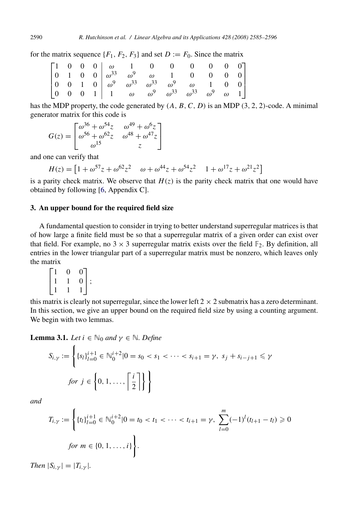for the matrix sequence  $\{F_1, F_2, F_3\}$  and set  $D := F_0$ . Since the matrix

|  |  |  |  | $\begin{bmatrix} 1 & 0 & 0 & 0 & \omega & 1 & 0 & 0 & 0 & 0 & 0 & 0 \\ 0 & 1 & 0 & 0 & \omega^{33} & \omega^9 & \omega & 1 & 0 & 0 & 0 & 0 \\ 0 & 0 & 1 & 0 & \omega^9 & \omega^{33} & \omega^{33} & \omega^9 & \omega & 1 & 0 & 0 \\ 0 & 0 & 0 & 1 & 1 & \omega & \omega^9 & \omega^{33} & \omega^{33} & \omega^9 & \omega & 1 \end{bmatrix}$ |  |  |
|--|--|--|--|------------------------------------------------------------------------------------------------------------------------------------------------------------------------------------------------------------------------------------------------------------------------------------------------------------------------------------------------|--|--|
|  |  |  |  |                                                                                                                                                                                                                                                                                                                                                |  |  |
|  |  |  |  |                                                                                                                                                                                                                                                                                                                                                |  |  |
|  |  |  |  |                                                                                                                                                                                                                                                                                                                                                |  |  |

has the MDP property, [the](#page-11-0) code generated by *(A, B, C, D)* is an MDP *(*3*,* 2*,* 2*)*-code. A minimal generator matrix for this code is

$$
G(z) = \begin{bmatrix} \omega^{36} + \omega^{54}z & \omega^{49} + \omega^{6}z \\ \omega^{56} + \omega^{62}z & \omega^{48} + \omega^{47}z \\ \omega^{15} & z \end{bmatrix}
$$

and one can verify that

$$
H(z) = \left[1 + \omega^{57} z + \omega^{62} z^2 \quad \omega + \omega^{44} z + \omega^{54} z^2 \quad 1 + \omega^{17} z + \omega^{21} z^2\right]
$$

is a parity check matrix. We observe that  $H(z)$  is the parity check matrix that one would have obtained by following [6, Appendix C].

## **3. An upper bound for the required field size**

A fundamental question to consider in trying to better understand superregular matrices is that of how large a finite field must be so that a superregular matrix of a given order can exist over that field. For example, no  $3 \times 3$  superregular matrix exists over the field  $\mathbb{F}_2$ . By definition, all entries in the lower triangular part of a superregular matrix must be nonzero, which leaves only the matrix

| $\overline{0}$ |                                             |          |
|----------------|---------------------------------------------|----------|
|                | $\begin{bmatrix} 0 \\ 0 \\ 1 \end{bmatrix}$ | $\vdots$ |
|                |                                             |          |

this matrix is clearly not superregular, since the lower left  $2 \times 2$  submatrix has a zero determinant. In this section, we give an upper bound on the required field size by using a counting argument. We begin with two lemmas.

**Lemma 3.1.** *Let*  $i \in \mathbb{N}_0$  *and*  $\gamma \in \mathbb{N}$ *. Define* 

$$
S_{i,\gamma} := \left\{ \{s_l\}_{l=0}^{i+1} \in \mathbb{N}_0^{i+2} | 0 = s_0 < s_1 < \dots < s_{i+1} = \gamma, \ s_j + s_{i-j+1} \leq \gamma \text{ for } j \in \left\{0, 1, \dots, \left\lceil \frac{i}{2} \right\rceil \right\} \right\}
$$

*and*

$$
T_{i,\gamma} := \left\{ \{t_l\}_{l=0}^{i+1} \in \mathbb{N}_0^{i+2} | 0 = t_0 < t_1 < \cdots < t_{i+1} = \gamma, \sum_{l=0}^m (-1)^l (t_{l+1} - t_l) \geq 0 \text{ for } m \in \{0, 1, \ldots, i\} \right\}.
$$

*Then*  $|S_{i,\gamma}| = |T_{i,\gamma}|$ *.* 

<span id="page-5-0"></span>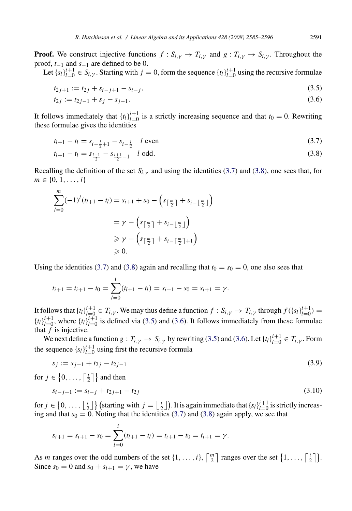**Proof.** We construct injective functions  $f : S_{i, \gamma} \to T_{i, \gamma}$  and  $g : T_{i, \gamma} \to S_{i, \gamma}$ . Throughout the proof, *t*−<sup>1</sup> and *s*−<sup>1</sup> are defined to be 0.

Let  ${s_l}^{i+1}_{l=0} \in S_{i,\gamma}$ . Starting with  $j = 0$ , form the sequence  ${t_l}^{i+1}_{l=0}$  using the recursive formulae

$$
t_{2j+1} := t_{2j} + s_{i-j+1} - s_{i-j}, \tag{3.5}
$$

$$
t_{2j} := t_{2j-1} + s_j - s_{j-1}.\tag{3.6}
$$

It follows immediately that  $\{t_l\}_{l=0}^{i+1}$  is a strictly increasing sequence and that  $t_0 = 0$ . Rewriting these formulae gives the identities

$$
t_{l+1} - t_l = s_{i - \frac{l}{2} + 1} - s_{i - \frac{l}{2}} \quad l \text{ even}
$$
\n(3.7)

$$
t_{l+1} - t_l = s_{\frac{l+1}{2}} - s_{\frac{l+1}{2} - 1} \quad l \text{ odd.}
$$
\n(3.8)

Recalling the definition of the set  $S_{i,y}$  and using the identities (3.7) and (3.8), one sees that, for  $m \in \{0, 1, \ldots, i\}$ 

$$
\sum_{l=0}^{m} (-1)^{l} (t_{l+1} - t_{l}) = s_{i+1} + s_{0} - \left( s_{\lceil \frac{m}{2} \rceil} + s_{i-\lfloor \frac{m}{2} \rfloor} \right)
$$

$$
= \gamma - \left( s_{\lceil \frac{m}{2} \rceil} + s_{i-\lfloor \frac{m}{2} \rfloor} \right)
$$

$$
\geq \gamma - \left( s_{\lceil \frac{m}{2} \rceil} + s_{i-\lceil \frac{m}{2} \rceil + 1} \right)
$$

$$
\geq 0.
$$

Using the identities (3.7) and (3.8) again and recalling that  $t_0 = s_0 = 0$ , one also sees that

$$
t_{i+1} = t_{i+1} - t_0 = \sum_{l=0}^{i} (t_{l+1} - t_l) = s_{i+1} - s_0 = s_{i+1} = \gamma.
$$

It follows that  $\{t_l\}_{l=0}^{i+1} \in T_{i,\gamma}$ . We may thus define a function  $f: S_{i,\gamma} \to T_{i,\gamma}$  through  $f(\{s_l\}_{l=0}^{i+1}) =$  ${t_l}_{l=0}^{i+1}$ , where  ${t_l}_{l=0}^{i+1}$  is defined via (3.5) and (3.6). It follows immediately from these formulae that *f* is injective.

We next define a function  $g: T_{i,\gamma} \to S_{i,\gamma}$  by rewriting (3.5) and (3.6). Let  $\{t_l\}_{l=0}^{i+1} \in T_{i,\gamma}$ . Form the sequence  $\{s_l\}_{l=0}^{i+1}$  using first the recursive formula

$$
s_j := s_{j-1} + t_{2j} - t_{2j-1}
$$
\n(3.9)

for  $j \in \left\{0, \ldots, \left\lceil \frac{i}{2} \right\rceil \right\}$  and then

$$
s_{i-j+1} := s_{i-j} + t_{2j+1} - t_{2j}
$$
\n
$$
(3.10)
$$

for  $j \in \{0, ..., \lfloor \frac{i}{2} \rfloor\}$  (starting with  $j = \lfloor \frac{i}{2} \rfloor$ ). It is again immediate that  $\{s_l\}_{l=0}^{i+1}$  is strictly increasing and that  $s_0 = 0$ . Noting that the identities (3.7) and (3.8) again apply, we see that

$$
s_{i+1} = s_{i+1} - s_0 = \sum_{l=0}^{i} (t_{l+1} - t_l) = t_{i+1} - t_0 = t_{i+1} = \gamma.
$$

As *m* ranges over the odd numbers of the set  $\{1, \ldots, i\}$ ,  $\lceil \frac{m}{2} \rceil$  ranges over the set  $\{1, \ldots, \lceil \frac{i}{2} \rceil\}$ . Since  $s_0 = 0$  and  $s_0 + s_{i+1} = \gamma$ , we have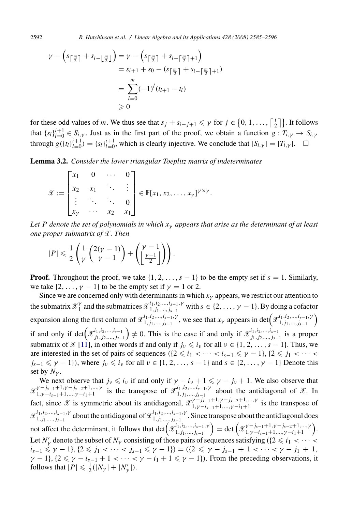$$
\gamma - \left(s_{\lceil \frac{m}{2} \rceil} + s_{i-\lfloor \frac{m}{2} \rfloor}\right) = \gamma - \left(s_{\lceil \frac{m}{2} \rceil} + s_{i-\lceil \frac{m}{2} \rceil + 1}\right)
$$
  
=  $s_{i+1} + s_0 - \left(s_{\lceil \frac{m}{2} \rceil} + s_{i-\lceil \frac{m}{2} \rceil + 1}\right)$   
=  $\sum_{l=0}^{m} (-1)^l (t_{l+1} - t_l)$   
\ge 0

for these odd values of *m*. We thus see that  $s_j + s_{i-j+1} \leq \gamma$  for  $j \in \{0, 1, ..., \lceil \frac{i}{2} \rceil\}$ . It follows that  $\{s_l\}_{l=0}^{i+1} \in S_{i,\gamma}$ . Just as in the first part of the proof, we obtain a function  $g: T_{i,\gamma} \to S_{i,\gamma}$ through  $g({t_l}_{l=0}^{i+1}) = {s_l}_{l=0}^{i+1}$ , which is clearly injective. We conclude that  $|S_{i,\gamma}| = |T_{i,\gamma}|$ .  $\Box$ 

**Lemma 3.2.** *Consider the lower triangular Toeplitz matrix of indeterminates*

$$
\mathscr{X} := \begin{bmatrix} x_1 & 0 & \cdots & 0 \\ x_2 & x_1 & \ddots & \vdots \\ \vdots & \ddots & \ddots & 0 \\ x_\gamma & \cdots & x_2 & x_1 \end{bmatrix} \in \mathbb{F}[x_1, x_2, \ldots, x_\gamma]^{\gamma \times \gamma}.
$$

*Let P denote the set of polynomials in which xγ appears that arise as the determinant of at least one proper submatrix of* X*. Then*

$$
|P| \leqslant \frac{1}{2} \left( \frac{1}{\gamma} \left( \frac{2(\gamma - 1)}{\gamma - 1} \right) + \left( \frac{\gamma - 1}{\frac{\gamma - 1}{2}} \right) \right).
$$

**Proof.** Throughout the proof, we take  $\{1, 2, \ldots, s - 1\}$  to be the empty set if  $s = 1$ . Similarly, we take  $\{2, \ldots, \gamma - 1\}$  to be the empty set if  $\gamma = 1$  or 2.

Since we are concerned only with determinants in which  $x<sub>y</sub>$  appears, we restrict our attention to the submatrix  $\mathcal{X}_1^{\gamma}$  and the submatrices  $\mathcal{X}_{1,j_1,\dots,j_{s-1}}^{i_1,i_2,\dots,i_{s-1},\gamma}$  with  $s \in \{2,\dots,\gamma-1\}$ . By doing a cofactor expansion along the first column of  $\mathscr{X}_{1,j_1,\dots,j_{s-1}}^{i_1,i_2,\dots,i_{s-1},\gamma}$ , we see that  $x_{\gamma}$  appears in det $(\mathscr{X}_{1,j_1,\dots,j_{s-1}}^{i_1,i_2,\dots,i_{s-1},\gamma})$ if and only if  $\det(x_{j_1,j_2,\ldots,j_{s-1}}^{i_1,i_2,\ldots,i_{s-1}}) \neq 0$ . This is the case if and only if  $x_{j_1,j_2,\ldots,j_{s-1}}^{i_1,i_2,\ldots,i_{s-1}}$  is a proper submatrix of X [11], in other words if and only if  $j_{\nu} \leq i_{\nu}$  for all  $\nu \in \{1, 2, ..., s - 1\}$ . Thus, we are interested in the set of pairs of sequences  $({2 \le i_1 < \cdots < i_{s-1} \le \gamma - 1}, {2 \le j_1 < \cdots < j_{s-1}}$  $j_{s-1} \leq \gamma - 1$ }, where  $j_{\nu} \leq i_{\nu}$  for all  $\nu \in \{1, 2, ..., s-1\}$  and  $s \in \{2, ..., \gamma-1\}$  Denote this set by  $N_{\nu}$ .

We next observe that  $j_{\nu} \leq i_{\nu}$  if and only if  $\gamma - i_{\nu} + 1 \leq \gamma - j_{\nu} + 1$ . We also observe that  $\mathscr{X}^{\gamma-j_{s-1}+1,\gamma-j_{s-2}+1,\dots,\gamma}_{1,\gamma-i_{s-1}+1,\dots,\gamma-i_1+1}$  is the transpose of  $\mathscr{X}^{i_1,i_2,\dots,i_{s-1},\gamma}_{1,j_1,\dots,j_{s-1}}$  about the antidiagonal of  $\mathscr{X}$ . In fact, since  $\mathscr X$  is symmetric about its antidiagonal,  $\mathscr X^{Y-j_{s-1}+1,\gamma-j_{s-2}+1,\dots,\gamma}_{1,\gamma-i_{s-1}+1,\dots,\gamma-i_1+1}$  is the transpose of  $\mathcal{X}^{i_1,i_2,...,i_{s-1},\gamma}_{1,j_1,...,j_{s-1}}$  about the antidiagonal of  $\mathcal{X}^{i_1,i_2,...,i_{s-1},\gamma}_{1,j_1,...,j_{s-1}}$ . Since transpose about the antidiagonal does not affect the determinant, it follows that  $\det(\mathcal{X}_{1,j_1,...,j_{s-1}}^{i_1,i_2,...,i_{s-1},\gamma}) = \det(\mathcal{X}_{1,\gamma-i_{s-1}+1,...,\gamma-i_{1}+1}^{\gamma-i_{s-2}+1,...,\gamma}).$ Let *N*<sup> $\prime$ </sup> denote the subset of *N*<sub> $\prime$ </sub> consisting of those pairs of sequences satisfying  $(2 \leq i_1 < \cdots < i_n)$  $i_{s-1} \leq \gamma - 1$ *}*,  $\{2 \leq j_1 < \cdots < j_{s-1} \leq \gamma - 1\}$ ) =  $(\{2 \leq \gamma - j_{s-1} + 1 < \cdots < \gamma - j_1 + 1,$  $\gamma$  − 1}, {2  $\leq \gamma$  − *i<sub>s−1</sub>* + 1 < ··· <  $\gamma$  − *i<sub>1</sub>* + 1  $\leq \gamma$  − 1}). From the preceding observations, it follows that  $|P| \le \frac{1}{2}(|N_{\gamma}|+|N'_{\gamma}|)$ .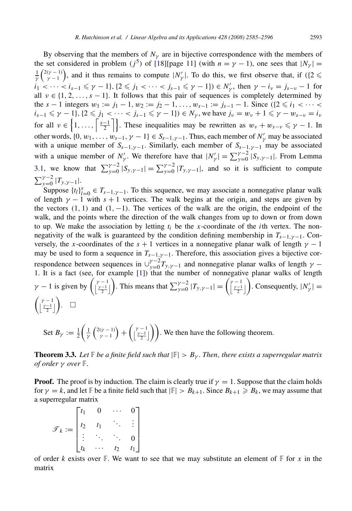By observing that the members of  $N_{\gamma}$  are in bijective correspondence with the members of the set considered in problem ( $j^5$ ) of [18][page 11] (with  $n = \gamma - 1$ ), one sees that  $|N_{\gamma}| =$  $\frac{1}{\gamma} \binom{2(\gamma-1)}{\gamma-1}$ , and it thus remains to compute  $|N'_{\gamma}|$ . To do this, we first observe that, if  $(2 \leq \gamma)$ *i*[<](#page-5-0)sub>1</sub> < ··· < *i<sub>s−1</sub>* ≤  $\gamma$  − 1}*,* {2 ≤ *j*<sub>1</sub> < ··· < *j<sub>s−1</sub>* ≤  $\gamma$  − 1}*)* ∈ *N'<sub>γ</sub>*, then  $\gamma$  − *i<sub>v</sub>* = *j<sub>s−v</sub>* − 1 for all  $v \in \{1, 2, ..., s - 1\}$ . It follows that this pair of sequences is completely determined by the  $s - 1$  integers  $w_1 := j_1 - 1$ ,  $w_2 := j_2 - 1$ , ...,  $w_{s-1} := j_{s-1} - 1$ . Since  $( {2 \le i_1 < \cdots < i_n} )$  $i_{s-1} \le \gamma - 1$ },  $\{2 \le j_1 < \cdots < j_{s-1} \le \gamma - 1\}$  $\in N_\gamma$ , we have  $j_\nu = w_\nu + 1 \le \gamma - w_{s-\nu} = i_\nu$ for all  $v \in \left\{1, \ldots, \left\lceil \frac{s-1}{2} \right\rceil \right\}$ . These inequalities may be rewritten as  $w_v + w_{s-v} \leq \gamma - 1$ . In other words,  $\{0, w_1, \ldots, w_{s-1}, \gamma - 1\} \in S_{s-1,\gamma-1}$ . Thus, each member of  $N'_\gamma$  may be associated with a unique member of  $S_{s-1,\gamma-1}$ . Similarly, each member of  $S_{s-1,\gamma-1}$  may be associated with a unique member of  $N'_\gamma$ . We therefore have that  $|N'_\gamma| = \sum_{y=0}^{\gamma-2} |S_{y,\gamma-1}|$ . From Lemma 3.1, we know that  $\sum_{y=0}^{\gamma-2} |S_{y,\gamma-1}| = \sum_{y=0}^{\gamma-2} |T_{y,\gamma-1}|$ , and so it is sufficient to compute  $\sum_{y=0}^{\gamma-2} |T_{y,\gamma-1}|.$ 

Suppose  $\{t_l\}_{l=0}^s \in T_{s-1,\gamma-1}$ . T[o th](#page-10-0)is sequence, we may associate a nonnegative planar walk of length  $\gamma$  − 1 with  $s + 1$  vertices. The walk begins at the origin, and steps are given by the vectors  $(1, 1)$  and  $(1, -1)$ . The vertices of the walk are the origin, the endpoint of the walk, and the points where the direction of the walk changes from up to down or from down to up. We make the association by letting  $t_i$  be the *x*-coordinate of the *i*th vertex. The nonnegativity of the walk is guaranteed by the condition defining membership in  $T_{s-1,\gamma-1}$ . Conversely, the *x*-coordinates of the  $s + 1$  vertices in a nonnegative planar walk of length  $\gamma - 1$ may be used to form a sequence in  $T_{s-1,\gamma-1}$ . Therefore, this association gives a bijective correspondence between sequences in  $\bigcup_{y=0}^{\gamma-2} T_{y,y-1}$  and nonnegative planar walks of length  $\gamma$  − 1. It is a fact (see, for example [1]) that the number of nonnegative planar walks of length  $\gamma - 1$  is given by  $\left(\frac{\gamma - 1}{2}\right)$ . This means that  $\sum_{y=0}^{\gamma - 2} |T_{y,\gamma-1}| = \left(\frac{\gamma - 1}{2}\right)$ . Consequently,  $|N'_\gamma|$  =  $\left(\frac{\gamma-1}{2}\right)$ .  $\Box$ 

Set  $B_{\gamma} := \frac{1}{2}$  $\left(\frac{1}{\gamma}\left(\begin{array}{c}2(\gamma-1) \\ \gamma-1\end{array}\right)+\left(\begin{array}{c}\gamma-1 \\ \frac{\gamma-1}{2}\end{array}\right)\right)$ . We then have the following theorem.

**Theorem 3.3.** *Let*  $\mathbb{F}$  *be a finite field such that*  $|\mathbb{F}| > B_{\gamma}$ *. Then, there exists a superregular matrix of order γ over* F*.*

**Proof.** The proof is by induction. The claim is clearly true if  $\gamma = 1$ . Suppose that the claim holds for  $\gamma = k$ , and let  $\mathbb{F}$  be a finite field such that  $|\mathbb{F}| > B_{k+1}$ . Since  $B_{k+1} \geq B_k$ , we may assume that a superregular matrix

 $\mathscr{T}_k \coloneqq$  $\Gamma$  $\blacksquare$  $t_1$  0  $\cdots$  0  $t_2$   $t_1$   $\ddots$  : *. . .* ... ... <sup>0</sup>  $t_k$   $\cdots$   $t_2$   $t_1$ ⎤ ⎥ ⎥ ⎥ ⎥ ⎦

of order k exists over  $\mathbb{F}$ . We want to see that we may substitute an element of  $\mathbb{F}$  for x in the matrix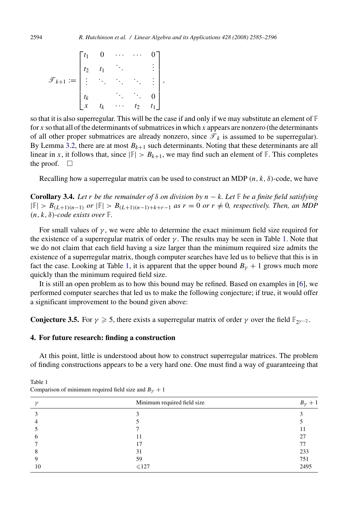$$
\mathcal{F}_{k+1} := \begin{bmatrix} t_1 & 0 & \cdots & \cdots & 0 \\ t_2 & t_1 & \ddots & & \vdots \\ \vdots & \ddots & \ddots & \ddots & \vdots \\ t_k & & \ddots & \ddots & 0 \\ x & t_k & \cdots & t_2 & t_1 \end{bmatrix},
$$

so that it is also superregular. This will be the case if and only if we may substitute an element of  $\mathbb F$ for *x* so that all of the determinants of submatrices in which *x* appears are nonzero (the determinants of all other proper submatrices are already nonzero, since  $\mathcal{T}_k$  is assumed to be superregular). By Lemma 3.2, there are at most  $B_{k+1}$  such determinants. Noting that these determinants are all linear in *x*, it follows that, since  $|F| > B_{k+1}$ , we may find such an element of F. This completes the proof.  $\Box$ 

Recalling how a superregular matrix can be used to construct an MDP  $(n, k, \delta)$ -code, we have

**Corollary 3.4.** *Let r be the remainder of*  $\delta$  *on division by*  $n - k$ *. Let*  $\mathbb{F}$  *be a finite field sat[isf](#page-11-0)ying* |F| *> B(L*<sup>+</sup>1*)(n*−1*) or* |F| *> B(L*<sup>+</sup>1*)(n*−1*)*+*k*+*r*−<sup>1</sup> *as r* = 0 *or r /*= 0*, respectively. Then, an MDP*  $(n, k, \delta)$ *-code exists over*  $\mathbb{F}$ *.* 

For small values of  $\gamma$ , we were able to determine the exact minimum field size required for the existence of a superregular matrix of order *γ* . The results may be seen in Table 1. Note that we do not claim that each field having a size larger than the minimum required size admits the existence of a superregular matrix, though computer searches have led us to believe that this is in fact the case. Looking at Table 1, it is apparent that the upper bound  $B_y + 1$  grows much more quickly than the minimum required field size.

It is still an open problem as to how this bound may be refined. Based on examples in [6], we performed computer searches that led us to make the following conjecture; if true, it would offer a significant improvement to the bound given above:

**Conjecture 3.5.** For  $\gamma \ge 5$ , there exists a superregular matrix of order  $\gamma$  over the field  $\mathbb{F}_{2^{\gamma-2}}$ .

# **4. For future research: finding a construction**

At this point, little is understood about how to construct superregular matrices. The problem of finding constructions appears to be a very hard one. One must find a way of guaranteeing that

| Comparison of minimum required field size and $B_{\gamma} + 1$ |  |
|----------------------------------------------------------------|--|

| $\gamma$ | Minimum required field size | $+1$<br>$B_{\nu}$ |
|----------|-----------------------------|-------------------|
|          |                             |                   |
|          |                             |                   |
|          |                             |                   |
|          |                             | 27                |
|          | 17                          | 77                |
|          | 31                          | 233               |
|          | 59                          | 751               |
| 10       | $\leqslant$ 127             | 2495              |

<span id="page-9-0"></span>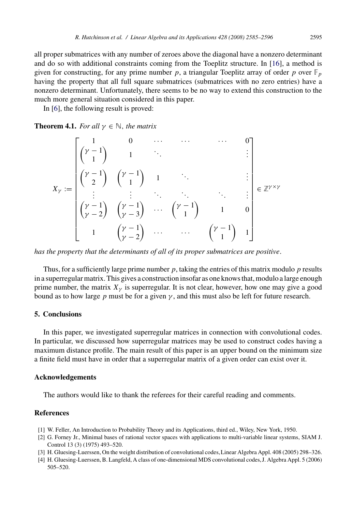<span id="page-10-0"></span>all proper submatrices with any number of zeroes above the diagonal have a nonzero determinant and do so with additional constraints coming from the Toeplitz structure. In [16], a method is given for constructing, for any prime number  $p$ , a triangular Toeplitz array of order  $p$  over  $\mathbb{F}_p$ having the property that all full square submatrices (submatrices with no zero entries) have a nonzero determinant. Unfortunately, there seems to be no way to extend this construction to the much more general situation considered in this paper.

In [6], the following result is proved:

**Theorem 4.1.** *For all*  $\gamma \in \mathbb{N}$ *, the matrix* 

$$
X_{\gamma} := \begin{bmatrix} 1 & 0 & \cdots & \cdots & 0 \\ (\gamma - 1) & 1 & \ddots & & & \vdots \\ (\gamma - 1) & (\gamma - 1) & 1 & \ddots & & \vdots \\ \vdots & \vdots & \ddots & \ddots & \ddots & \vdots \\ (\gamma - 1) & (\gamma - 1) & \cdots & (\gamma - 1) & 1 & 0 \\ (\gamma - 2) & (\gamma - 3) & \cdots & (\gamma - 1) & 1 & 0 \\ 1 & (\gamma - 2) & \cdots & \cdots & (\gamma - 1) & 1 \end{bmatrix} \in \mathbb{Z}^{\gamma \times \gamma}
$$

*has the property that the determinants of all of its proper submatrices are positive.*

Thus, for a sufficiently large prime number *p*, taking the entries of this matrix modulo *p* results in a superregular matrix. This gives a construction insofar as one knows that, modulo a large enough prime number, the matrix  $X_{\gamma}$  is superregular. It is not clear, however, how one may give a good bound as to how large  $p$  must be for a given  $\gamma$ , and this must also be left for future research.

## **5. Conclusions**

In this paper, we investigated superregular matrices in connection with convolutional codes. In particular, we discussed how superregular matrices may be used to construct codes having a maximum distance profile. The main result of this paper is an upper bound on the minimum size a finite field must have in order that a superregular matrix of a given order can exist over it.

## **Acknowledgements**

The authors would like to thank the referees for their careful reading and comments.

# **References**

- [1] W. Feller, An Introduction to Probability Theory and its Applications, third ed., Wiley, New York, 1950.
- [2] G. Forney Jr., Minimal bases of rational vector spaces with applications to multi-variable linear systems, SIAM J. Control 13 (3) (1975) 493–520.
- [3] H. Gluesing-Luerssen, On the weight distribution of convolutional codes,Linear Algebra Appl. 408 (2005) 298–326.
- [4] H. Gluesing-Luerssen, B. Langfeld, A class of one-dimensional MDS convolutional codes,J. Algebra Appl. 5 (2006) 505–520.